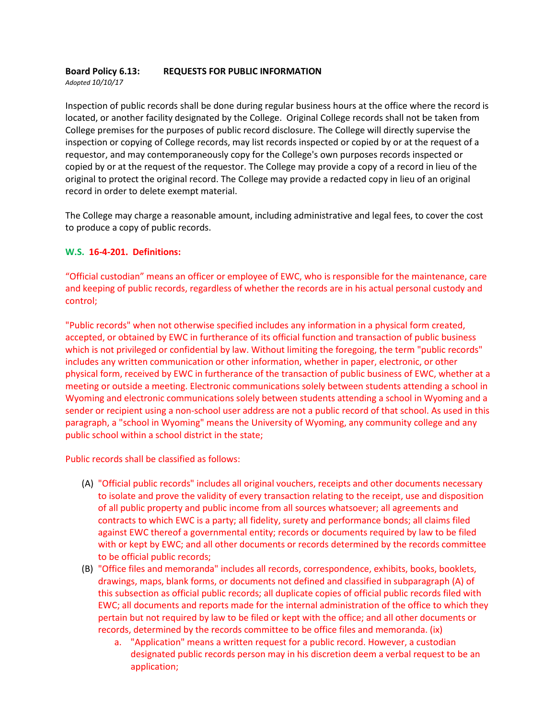#### **Board Policy 6.13: REQUESTS FOR PUBLIC INFORMATION** *Adopted 10/10/17*

Inspection of public records shall be done during regular business hours at the office where the record is located, or another facility designated by the College. Original College records shall not be taken from College premises for the purposes of public record disclosure. The College will directly supervise the inspection or copying of College records, may list records inspected or copied by or at the request of a requestor, and may contemporaneously copy for the College's own purposes records inspected or copied by or at the request of the requestor. The College may provide a copy of a record in lieu of the original to protect the original record. The College may provide a redacted copy in lieu of an original record in order to delete exempt material.

The College may charge a reasonable amount, including administrative and legal fees, to cover the cost to produce a copy of public records.

# **W.S. 16-4-201. Definitions:**

"Official custodian" means an officer or employee of EWC, who is responsible for the maintenance, care and keeping of public records, regardless of whether the records are in his actual personal custody and control;

"Public records" when not otherwise specified includes any information in a physical form created, accepted, or obtained by EWC in furtherance of its official function and transaction of public business which is not privileged or confidential by law. Without limiting the foregoing, the term "public records" includes any written communication or other information, whether in paper, electronic, or other physical form, received by EWC in furtherance of the transaction of public business of EWC, whether at a meeting or outside a meeting. Electronic communications solely between students attending a school in Wyoming and electronic communications solely between students attending a school in Wyoming and a sender or recipient using a non-school user address are not a public record of that school. As used in this paragraph, a "school in Wyoming" means the University of Wyoming, any community college and any public school within a school district in the state;

Public records shall be classified as follows:

- (A) "Official public records" includes all original vouchers, receipts and other documents necessary to isolate and prove the validity of every transaction relating to the receipt, use and disposition of all public property and public income from all sources whatsoever; all agreements and contracts to which EWC is a party; all fidelity, surety and performance bonds; all claims filed against EWC thereof a governmental entity; records or documents required by law to be filed with or kept by EWC; and all other documents or records determined by the records committee to be official public records;
- (B) "Office files and memoranda" includes all records, correspondence, exhibits, books, booklets, drawings, maps, blank forms, or documents not defined and classified in subparagraph (A) of this subsection as official public records; all duplicate copies of official public records filed with EWC; all documents and reports made for the internal administration of the office to which they pertain but not required by law to be filed or kept with the office; and all other documents or records, determined by the records committee to be office files and memoranda. (ix)
	- a. "Application" means a written request for a public record. However, a custodian designated public records person may in his discretion deem a verbal request to be an application;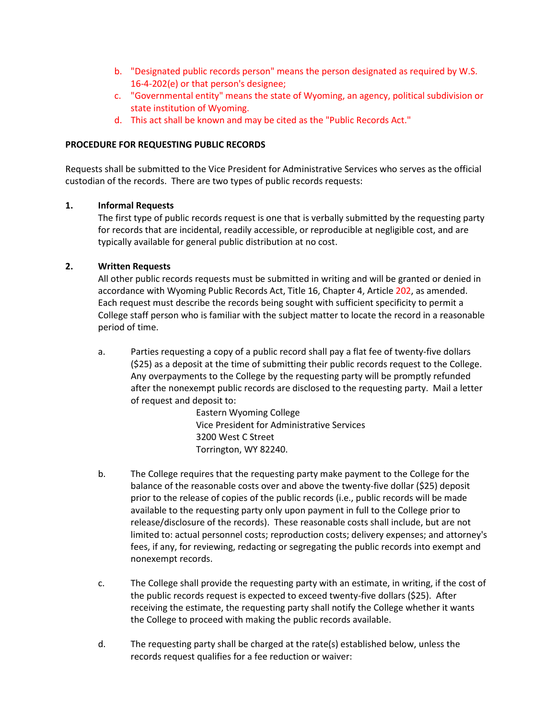- b. "Designated public records person" means the person designated as required by W.S. 16-4-202(e) or that person's designee;
- c. "Governmental entity" means the state of Wyoming, an agency, political subdivision or state institution of Wyoming.
- d. This act shall be known and may be cited as the "Public Records Act."

## **PROCEDURE FOR REQUESTING PUBLIC RECORDS**

Requests shall be submitted to the Vice President for Administrative Services who serves as the official custodian of the records. There are two types of public records requests:

### **1. Informal Requests**

The first type of public records request is one that is verbally submitted by the requesting party for records that are incidental, readily accessible, or reproducible at negligible cost, and are typically available for general public distribution at no cost.

# **2. Written Requests**

All other public records requests must be submitted in writing and will be granted or denied in accordance with Wyoming Public Records Act, Title 16, Chapter 4, Article 202, as amended. Each request must describe the records being sought with sufficient specificity to permit a College staff person who is familiar with the subject matter to locate the record in a reasonable period of time.

a. Parties requesting a copy of a public record shall pay a flat fee of twenty-five dollars (\$25) as a deposit at the time of submitting their public records request to the College. Any overpayments to the College by the requesting party will be promptly refunded after the nonexempt public records are disclosed to the requesting party. Mail a letter of request and deposit to:

> Eastern Wyoming College Vice President for Administrative Services 3200 West C Street Torrington, WY 82240.

- b. The College requires that the requesting party make payment to the College for the balance of the reasonable costs over and above the twenty-five dollar (\$25) deposit prior to the release of copies of the public records (i.e., public records will be made available to the requesting party only upon payment in full to the College prior to release/disclosure of the records). These reasonable costs shall include, but are not limited to: actual personnel costs; reproduction costs; delivery expenses; and attorney's fees, if any, for reviewing, redacting or segregating the public records into exempt and nonexempt records.
- c. The College shall provide the requesting party with an estimate, in writing, if the cost of the public records request is expected to exceed twenty-five dollars (\$25). After receiving the estimate, the requesting party shall notify the College whether it wants the College to proceed with making the public records available.
- d. The requesting party shall be charged at the rate(s) established below, unless the records request qualifies for a fee reduction or waiver: